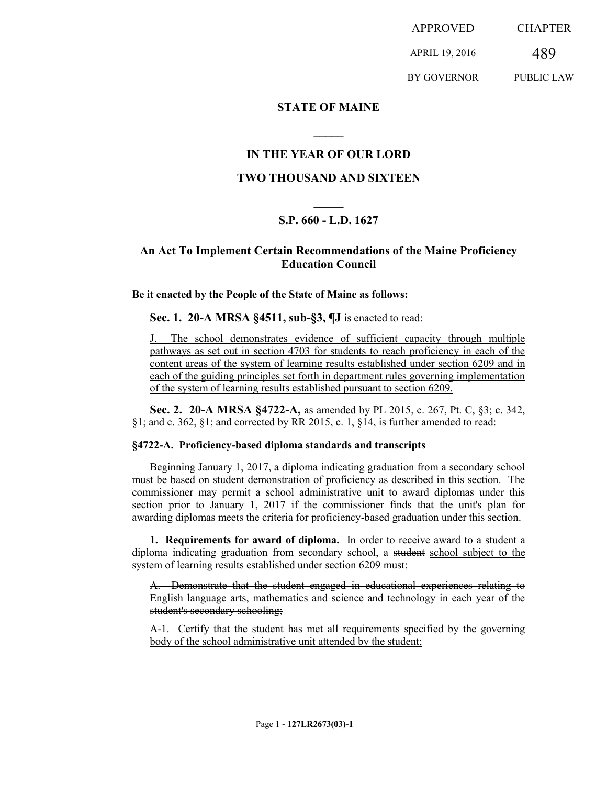APPROVED APRIL 19, 2016 **CHAPTER** 489

BY GOVERNOR

PUBLIC LAW

### **STATE OF MAINE**

## **IN THE YEAR OF OUR LORD**

**\_\_\_\_\_**

### **TWO THOUSAND AND SIXTEEN**

# **\_\_\_\_\_ S.P. 660 - L.D. 1627**

### **An Act To Implement Certain Recommendations of the Maine Proficiency Education Council**

#### **Be it enacted by the People of the State of Maine as follows:**

**Sec. 1. 20-A MRSA §4511, sub-§3, ¶J** is enacted to read:

The school demonstrates evidence of sufficient capacity through multiple pathways as set out in section 4703 for students to reach proficiency in each of the content areas of the system of learning results established under section 6209 and in each of the guiding principles set forth in department rules governing implementation of the system of learning results established pursuant to section 6209.

**Sec. 2. 20-A MRSA §4722-A,** as amended by PL 2015, c. 267, Pt. C, §3; c. 342, §1; and c. 362, §1; and corrected by RR 2015, c. 1, §14, is further amended to read:

#### **§4722-A. Proficiency-based diploma standards and transcripts**

Beginning January 1, 2017, a diploma indicating graduation from a secondary school must be based on student demonstration of proficiency as described in this section. The commissioner may permit a school administrative unit to award diplomas under this section prior to January 1, 2017 if the commissioner finds that the unit's plan for awarding diplomas meets the criteria for proficiency-based graduation under this section.

**1. Requirements for award of diploma.** In order to receive award to a student a diploma indicating graduation from secondary school, a student school subject to the system of learning results established under section 6209 must:

A. Demonstrate that the student engaged in educational experiences relating to English language arts, mathematics and science and technology in each year of the student's secondary schooling;

A-1. Certify that the student has met all requirements specified by the governing body of the school administrative unit attended by the student;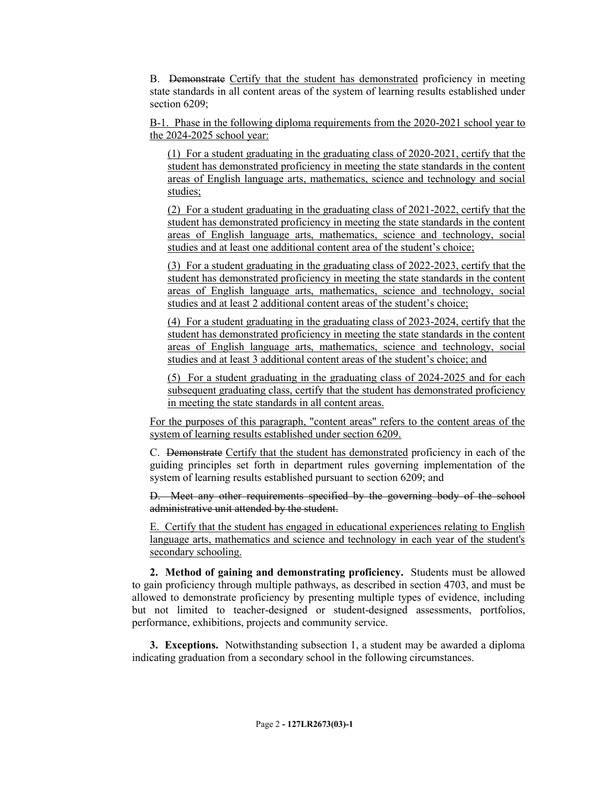B. Demonstrate Certify that the student has demonstrated proficiency in meeting state standards in all content areas of the system of learning results established under section 6209;

B-1. Phase in the following diploma requirements from the 2020-2021 school year to the 2024-2025 school year:

(1) For a student graduating in the graduating class of 2020-2021, certify that the student has demonstrated proficiency in meeting the state standards in the content areas of English language arts, mathematics, science and technology and social studies;

(2) For a student graduating in the graduating class of 2021-2022, certify that the student has demonstrated proficiency in meeting the state standards in the content areas of English language arts, mathematics, science and technology, social studies and at least one additional content area of the student's choice;

(3) For a student graduating in the graduating class of 2022-2023, certify that the student has demonstrated proficiency in meeting the state standards in the content areas of English language arts, mathematics, science and technology, social studies and at least 2 additional content areas of the student's choice;

(4) For a student graduating in the graduating class of 2023-2024, certify that the student has demonstrated proficiency in meeting the state standards in the content areas of English language arts, mathematics, science and technology, social studies and at least 3 additional content areas of the student's choice; and

(5) For a student graduating in the graduating class of 2024-2025 and for each subsequent graduating class, certify that the student has demonstrated proficiency in meeting the state standards in all content areas.

For the purposes of this paragraph, "content areas" refers to the content areas of the system of learning results established under section 6209.

C. Demonstrate Certify that the student has demonstrated proficiency in each of the guiding principles set forth in department rules governing implementation of the system of learning results established pursuant to section 6209; and

D. Meet any other requirements specified by the governing body of the school administrative unit attended by the student.

E. Certify that the student has engaged in educational experiences relating to English language arts, mathematics and science and technology in each year of the student's secondary schooling.

**2. Method of gaining and demonstrating proficiency.** Students must be allowed to gain proficiency through multiple pathways, as described in section 4703, and must be allowed to demonstrate proficiency by presenting multiple types of evidence, including but not limited to teacher-designed or student-designed assessments, portfolios, performance, exhibitions, projects and community service.

**3. Exceptions.** Notwithstanding subsection 1, a student may be awarded a diploma indicating graduation from a secondary school in the following circumstances.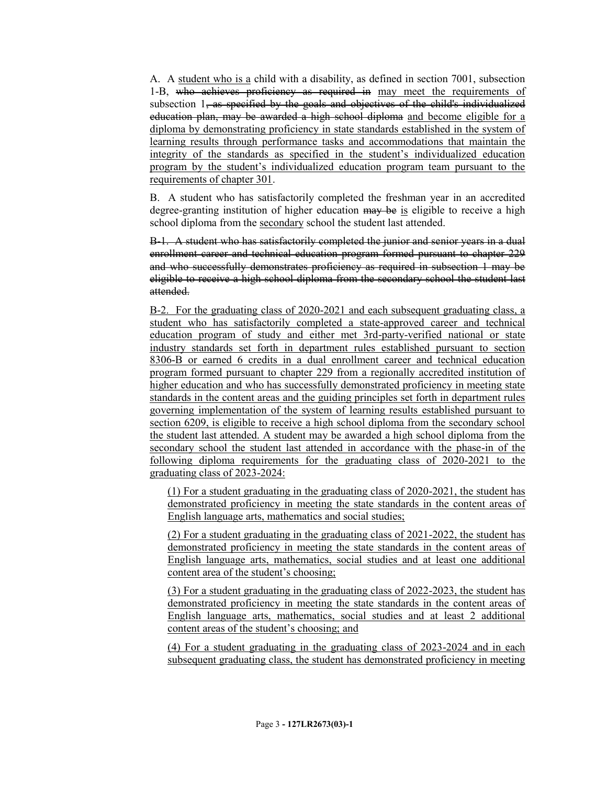A. A student who is a child with a disability, as defined in section 7001, subsection 1-B, who achieves proficiency as required in may meet the requirements of subsection 1, as specified by the goals and objectives of the child's individualized education plan, may be awarded a high school diploma and become eligible for a diploma by demonstrating proficiency in state standards established in the system of learning results through performance tasks and accommodations that maintain the integrity of the standards as specified in the student's individualized education program by the student's individualized education program team pursuant to the requirements of chapter 301.

B. A student who has satisfactorily completed the freshman year in an accredited degree-granting institution of higher education may be is eligible to receive a high school diploma from the secondary school the student last attended.

B-1. A student who has satisfactorily completed the junior and senior years in a dual enrollment career and technical education program formed pursuant to chapter 229 and who successfully demonstrates proficiency as required in subsection 1 may be eligible to receive a high school diploma from the secondary school the student last attended.

B-2. For the graduating class of 2020-2021 and each subsequent graduating class, a student who has satisfactorily completed a state-approved career and technical education program of study and either met 3rd-party-verified national or state industry standards set forth in department rules established pursuant to section 8306-B or earned 6 credits in a dual enrollment career and technical education program formed pursuant to chapter 229 from a regionally accredited institution of higher education and who has successfully demonstrated proficiency in meeting state standards in the content areas and the guiding principles set forth in department rules governing implementation of the system of learning results established pursuant to section 6209, is eligible to receive a high school diploma from the secondary school the student last attended. A student may be awarded a high school diploma from the secondary school the student last attended in accordance with the phase-in of the following diploma requirements for the graduating class of 2020-2021 to the graduating class of 2023-2024:

(1) For a student graduating in the graduating class of 2020-2021, the student has demonstrated proficiency in meeting the state standards in the content areas of English language arts, mathematics and social studies;

(2) For a student graduating in the graduating class of 2021-2022, the student has demonstrated proficiency in meeting the state standards in the content areas of English language arts, mathematics, social studies and at least one additional content area of the student's choosing;

(3) For a student graduating in the graduating class of 2022-2023, the student has demonstrated proficiency in meeting the state standards in the content areas of English language arts, mathematics, social studies and at least 2 additional content areas of the student's choosing; and

(4) For a student graduating in the graduating class of 2023-2024 and in each subsequent graduating class, the student has demonstrated proficiency in meeting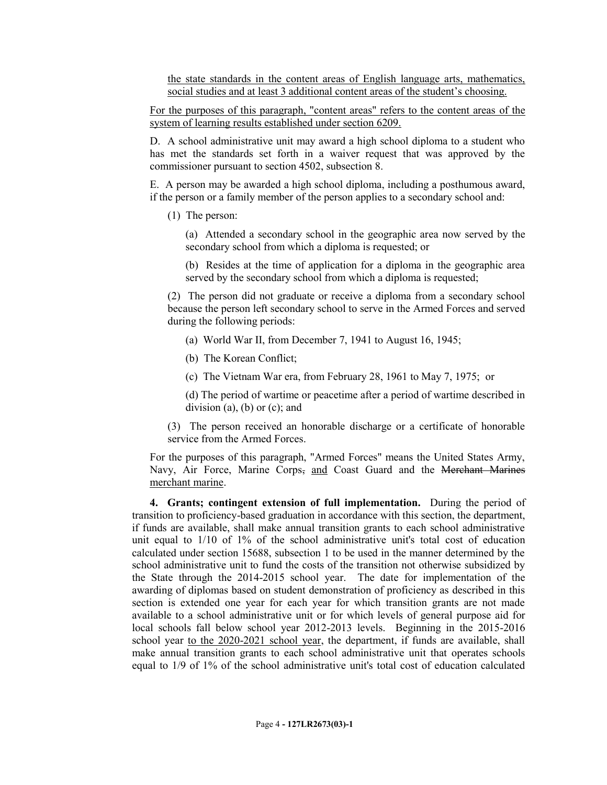the state standards in the content areas of English language arts, mathematics, social studies and at least 3 additional content areas of the student's choosing.

For the purposes of this paragraph, "content areas" refers to the content areas of the system of learning results established under section 6209.

D. A school administrative unit may award a high school diploma to a student who has met the standards set forth in a waiver request that was approved by the commissioner pursuant to section 4502, subsection 8.

E. A person may be awarded a high school diploma, including a posthumous award, if the person or a family member of the person applies to a secondary school and:

(1) The person:

(a) Attended a secondary school in the geographic area now served by the secondary school from which a diploma is requested; or

(b) Resides at the time of application for a diploma in the geographic area served by the secondary school from which a diploma is requested;

(2) The person did not graduate or receive a diploma from a secondary school because the person left secondary school to serve in the Armed Forces and served during the following periods:

- (a) World War II, from December 7, 1941 to August 16, 1945;
- (b) The Korean Conflict;
- (c) The Vietnam War era, from February 28, 1961 to May 7, 1975; or

(d) The period of wartime or peacetime after a period of wartime described in division (a), (b) or  $(c)$ ; and

(3) The person received an honorable discharge or a certificate of honorable service from the Armed Forces.

For the purposes of this paragraph, "Armed Forces" means the United States Army, Navy, Air Force, Marine Corps, and Coast Guard and the Merchant Marines merchant marine.

**4. Grants; contingent extension of full implementation.** During the period of transition to proficiency-based graduation in accordance with this section, the department, if funds are available, shall make annual transition grants to each school administrative unit equal to 1/10 of 1% of the school administrative unit's total cost of education calculated under section 15688, subsection 1 to be used in the manner determined by the school administrative unit to fund the costs of the transition not otherwise subsidized by the State through the 2014-2015 school year. The date for implementation of the awarding of diplomas based on student demonstration of proficiency as described in this section is extended one year for each year for which transition grants are not made available to a school administrative unit or for which levels of general purpose aid for local schools fall below school year 2012-2013 levels. Beginning in the 2015-2016 school year to the 2020-2021 school year, the department, if funds are available, shall make annual transition grants to each school administrative unit that operates schools equal to 1/9 of 1% of the school administrative unit's total cost of education calculated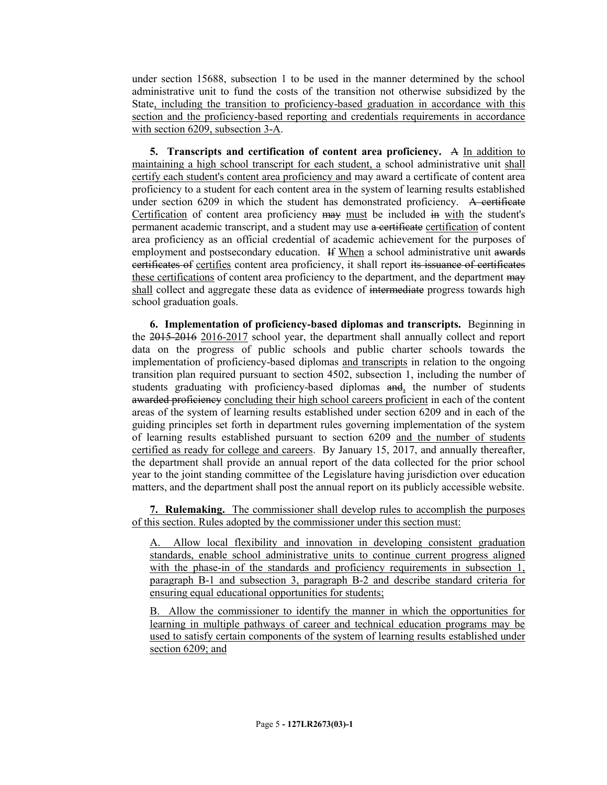under section 15688, subsection 1 to be used in the manner determined by the school administrative unit to fund the costs of the transition not otherwise subsidized by the State, including the transition to proficiency-based graduation in accordance with this section and the proficiency-based reporting and credentials requirements in accordance with section 6209, subsection 3-A.

**5. Transcripts and certification of content area proficiency.** A In addition to maintaining a high school transcript for each student, a school administrative unit shall certify each student's content area proficiency and may award a certificate of content area proficiency to a student for each content area in the system of learning results established under section 6209 in which the student has demonstrated proficiency. A certificate Certification of content area proficiency may must be included in with the student's permanent academic transcript, and a student may use a certificate certification of content area proficiency as an official credential of academic achievement for the purposes of employment and postsecondary education. If When a school administrative unit awards certificates of certifies content area proficiency, it shall report its issuance of certificates these certifications of content area proficiency to the department, and the department may shall collect and aggregate these data as evidence of intermediate progress towards high school graduation goals.

**6. Implementation of proficiency-based diplomas and transcripts.** Beginning in the 2015-2016 2016-2017 school year, the department shall annually collect and report data on the progress of public schools and public charter schools towards the implementation of proficiency-based diplomas and transcripts in relation to the ongoing transition plan required pursuant to section 4502, subsection 1, including the number of students graduating with proficiency-based diplomas and, the number of students awarded proficiency concluding their high school careers proficient in each of the content areas of the system of learning results established under section 6209 and in each of the guiding principles set forth in department rules governing implementation of the system of learning results established pursuant to section 6209 and the number of students certified as ready for college and careers. By January 15, 2017, and annually thereafter, the department shall provide an annual report of the data collected for the prior school year to the joint standing committee of the Legislature having jurisdiction over education matters, and the department shall post the annual report on its publicly accessible website.

**7. Rulemaking.** The commissioner shall develop rules to accomplish the purposes of this section. Rules adopted by the commissioner under this section must:

A. Allow local flexibility and innovation in developing consistent graduation standards, enable school administrative units to continue current progress aligned with the phase-in of the standards and proficiency requirements in subsection 1, paragraph B-1 and subsection 3, paragraph B-2 and describe standard criteria for ensuring equal educational opportunities for students;

B. Allow the commissioner to identify the manner in which the opportunities for learning in multiple pathways of career and technical education programs may be used to satisfy certain components of the system of learning results established under section 6209; and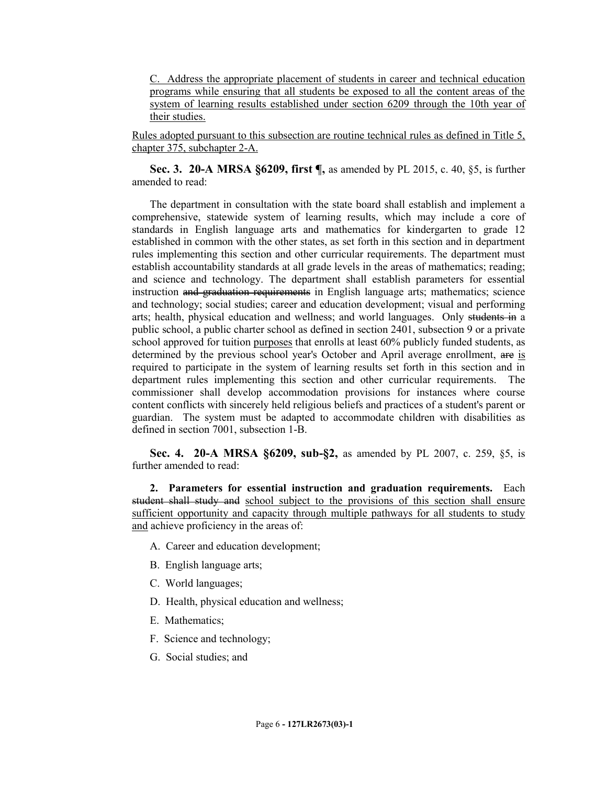C. Address the appropriate placement of students in career and technical education programs while ensuring that all students be exposed to all the content areas of the system of learning results established under section 6209 through the 10th year of their studies.

Rules adopted pursuant to this subsection are routine technical rules as defined in Title 5, chapter 375, subchapter 2-A.

**Sec. 3. 20-A MRSA §6209, first ¶,** as amended by PL 2015, c. 40, §5, is further amended to read:

The department in consultation with the state board shall establish and implement a comprehensive, statewide system of learning results, which may include a core of standards in English language arts and mathematics for kindergarten to grade 12 established in common with the other states, as set forth in this section and in department rules implementing this section and other curricular requirements. The department must establish accountability standards at all grade levels in the areas of mathematics; reading; and science and technology. The department shall establish parameters for essential instruction and graduation requirements in English language arts; mathematics; science and technology; social studies; career and education development; visual and performing arts; health, physical education and wellness; and world languages. Only students in a public school, a public charter school as defined in section 2401, subsection 9 or a private school approved for tuition purposes that enrolls at least 60% publicly funded students, as determined by the previous school year's October and April average enrollment, are is required to participate in the system of learning results set forth in this section and in department rules implementing this section and other curricular requirements. The commissioner shall develop accommodation provisions for instances where course content conflicts with sincerely held religious beliefs and practices of a student's parent or guardian. The system must be adapted to accommodate children with disabilities as defined in section 7001, subsection 1-B.

**Sec. 4. 20-A MRSA §6209, sub-§2,** as amended by PL 2007, c. 259, §5, is further amended to read:

**2. Parameters for essential instruction and graduation requirements.** Each student shall study and school subject to the provisions of this section shall ensure sufficient opportunity and capacity through multiple pathways for all students to study and achieve proficiency in the areas of:

- A. Career and education development;
- B. English language arts;
- C. World languages;
- D. Health, physical education and wellness;
- E. Mathematics;
- F. Science and technology;
- G. Social studies; and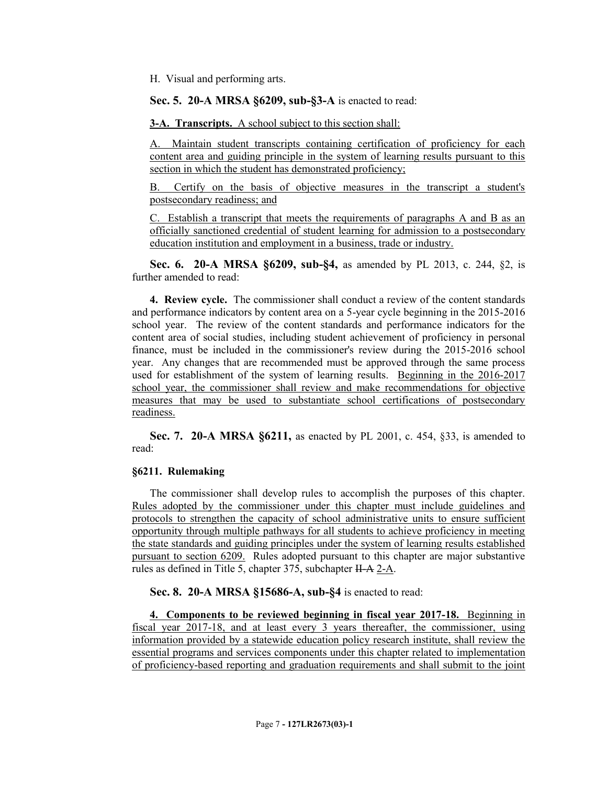H. Visual and performing arts.

**Sec. 5. 20-A MRSA §6209, sub-§3-A** is enacted to read:

**3-A. Transcripts.** A school subject to this section shall:

A. Maintain student transcripts containing certification of proficiency for each content area and guiding principle in the system of learning results pursuant to this section in which the student has demonstrated proficiency;

B. Certify on the basis of objective measures in the transcript a student's postsecondary readiness; and

C. Establish a transcript that meets the requirements of paragraphs A and B as an officially sanctioned credential of student learning for admission to a postsecondary education institution and employment in a business, trade or industry.

**Sec. 6. 20-A MRSA §6209, sub-§4,** as amended by PL 2013, c. 244, §2, is further amended to read:

**4. Review cycle.** The commissioner shall conduct a review of the content standards and performance indicators by content area on a 5-year cycle beginning in the 2015-2016 school year. The review of the content standards and performance indicators for the content area of social studies, including student achievement of proficiency in personal finance, must be included in the commissioner's review during the 2015-2016 school year. Any changes that are recommended must be approved through the same process used for establishment of the system of learning results. Beginning in the 2016-2017 school year, the commissioner shall review and make recommendations for objective measures that may be used to substantiate school certifications of postsecondary readiness.

**Sec. 7. 20-A MRSA §6211,** as enacted by PL 2001, c. 454, §33, is amended to read:

#### **§6211. Rulemaking**

The commissioner shall develop rules to accomplish the purposes of this chapter. Rules adopted by the commissioner under this chapter must include guidelines and protocols to strengthen the capacity of school administrative units to ensure sufficient opportunity through multiple pathways for all students to achieve proficiency in meeting the state standards and guiding principles under the system of learning results established pursuant to section 6209. Rules adopted pursuant to this chapter are major substantive rules as defined in Title 5, chapter 375, subchapter II-A 2-A.

**Sec. 8. 20-A MRSA §15686-A, sub-§4** is enacted to read:

**4. Components to be reviewed beginning in fiscal year 2017-18.** Beginning in fiscal year 2017-18, and at least every 3 years thereafter, the commissioner, using information provided by a statewide education policy research institute, shall review the essential programs and services components under this chapter related to implementation of proficiency-based reporting and graduation requirements and shall submit to the joint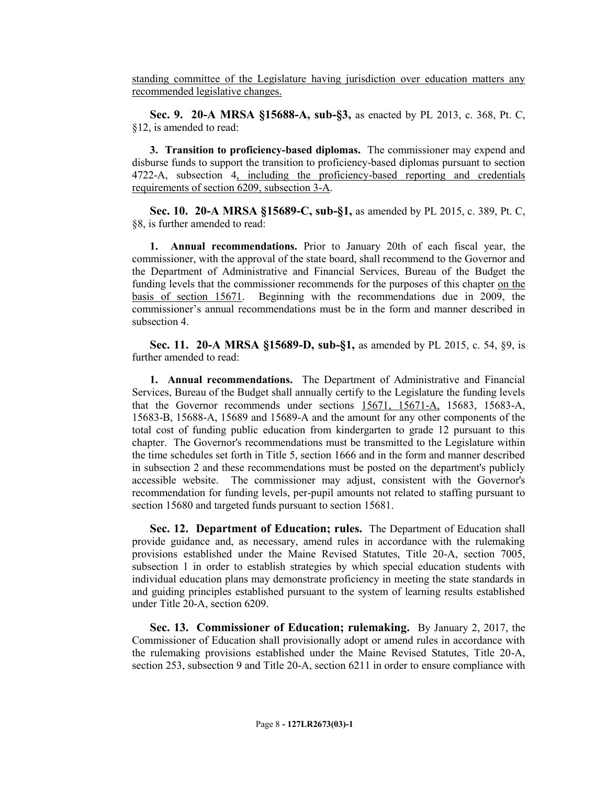standing committee of the Legislature having jurisdiction over education matters any recommended legislative changes.

**Sec. 9. 20-A MRSA §15688-A, sub-§3,** as enacted by PL 2013, c. 368, Pt. C, §12, is amended to read:

**3. Transition to proficiency-based diplomas.** The commissioner may expend and disburse funds to support the transition to proficiency-based diplomas pursuant to section 4722-A, subsection 4, including the proficiency-based reporting and credentials requirements of section 6209, subsection 3-A.

**Sec. 10. 20-A MRSA §15689-C, sub-§1,** as amended by PL 2015, c. 389, Pt. C, §8, is further amended to read:

**1. Annual recommendations.** Prior to January 20th of each fiscal year, the commissioner, with the approval of the state board, shall recommend to the Governor and the Department of Administrative and Financial Services, Bureau of the Budget the funding levels that the commissioner recommends for the purposes of this chapter on the basis of section 15671. Beginning with the recommendations due in 2009, the commissioner's annual recommendations must be in the form and manner described in subsection 4.

**Sec. 11. 20-A MRSA §15689-D, sub-§1,** as amended by PL 2015, c. 54, §9, is further amended to read:

**1. Annual recommendations.** The Department of Administrative and Financial Services, Bureau of the Budget shall annually certify to the Legislature the funding levels that the Governor recommends under sections 15671, 15671-A, 15683, 15683-A, 15683-B, 15688-A, 15689 and 15689-A and the amount for any other components of the total cost of funding public education from kindergarten to grade 12 pursuant to this chapter. The Governor's recommendations must be transmitted to the Legislature within the time schedules set forth in Title 5, section 1666 and in the form and manner described in subsection 2 and these recommendations must be posted on the department's publicly accessible website. The commissioner may adjust, consistent with the Governor's recommendation for funding levels, per-pupil amounts not related to staffing pursuant to section 15680 and targeted funds pursuant to section 15681.

**Sec. 12. Department of Education; rules.** The Department of Education shall provide guidance and, as necessary, amend rules in accordance with the rulemaking provisions established under the Maine Revised Statutes, Title 20-A, section 7005, subsection 1 in order to establish strategies by which special education students with individual education plans may demonstrate proficiency in meeting the state standards in and guiding principles established pursuant to the system of learning results established under Title 20-A, section 6209.

**Sec. 13. Commissioner of Education; rulemaking.** By January 2, 2017, the Commissioner of Education shall provisionally adopt or amend rules in accordance with the rulemaking provisions established under the Maine Revised Statutes, Title 20-A, section 253, subsection 9 and Title 20-A, section 6211 in order to ensure compliance with